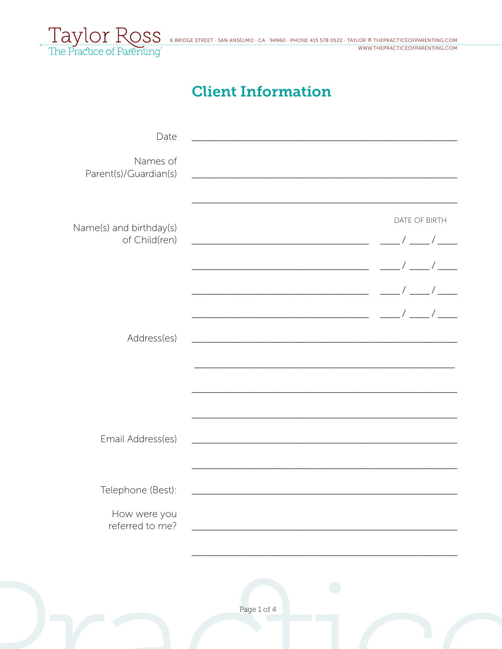

# **Client Information**

| Date                                                 |               |
|------------------------------------------------------|---------------|
| Names of<br>Parent(s)/Guardian(s)                    |               |
| Name(s) and birthday(s)<br>of Child(ren)             | DATE OF BIRTH |
| Address(es)                                          |               |
| Email Address(es)                                    |               |
| Telephone (Best):<br>How were you<br>referred to me? |               |
|                                                      | Page 1 of 4   |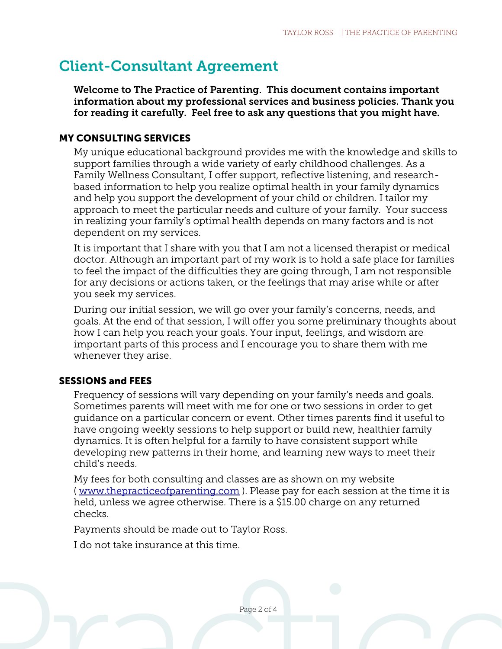## Client-Consultant Agreement

Welcome to The Practice of Parenting. This document contains important information about my professional services and business policies. Thank you for reading it carefully. Feel free to ask any questions that you might have.

### MY CONSULTING SERVICES

My unique educational background provides me with the knowledge and skills to support families through a wide variety of early childhood challenges. As a Family Wellness Consultant, I offer support, reflective listening, and researchbased information to help you realize optimal health in your family dynamics and help you support the development of your child or children. I tailor my approach to meet the particular needs and culture of your family. Your success in realizing your family's optimal health depends on many factors and is not dependent on my services.

It is important that I share with you that I am not a licensed therapist or medical doctor. Although an important part of my work is to hold a safe place for families to feel the impact of the difficulties they are going through, I am not responsible for any decisions or actions taken, or the feelings that may arise while or after you seek my services.

During our initial session, we will go over your family's concerns, needs, and goals. At the end of that session, I will offer you some preliminary thoughts about how I can help you reach your goals. Your input, feelings, and wisdom are important parts of this process and I encourage you to share them with me whenever they arise.

## SESSIONS and FEES

Frequency of sessions will vary depending on your family's needs and goals. Sometimes parents will meet with me for one or two sessions in order to get guidance on a particular concern or event. Other times parents find it useful to have ongoing weekly sessions to help support or build new, healthier family dynamics. It is often helpful for a family to have consistent support while developing new patterns in their home, and learning new ways to meet their child's needs.

My fees for both consulting and classes are as shown on my website (*[www.thepracticeofparenting.com](http://www.thepracticeofparenting.com)*). Please pay for each session at the time it is held, unless we agree otherwise. There is a \$15.00 charge on any returned checks.

Payments should be made out to Taylor Ross.

I do not take insurance at this time.

Page 2 of 4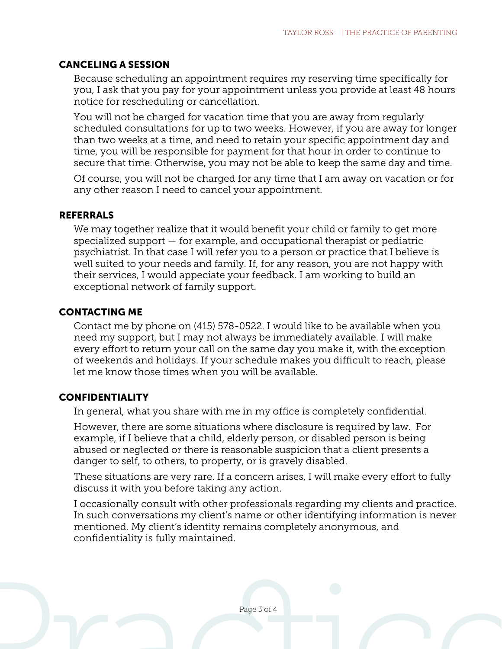#### CANCELING A SESSION

Because scheduling an appointment requires my reserving time specifically for you, I ask that you pay for your appointment unless you provide at least 48 hours notice for rescheduling or cancellation.

You will not be charged for vacation time that you are away from regularly scheduled consultations for up to two weeks. However, if you are away for longer than two weeks at a time, and need to retain your specific appointment day and time, you will be responsible for payment for that hour in order to continue to secure that time. Otherwise, you may not be able to keep the same day and time.

Of course, you will not be charged for any time that I am away on vacation or for any other reason I need to cancel your appointment.

#### REFERRALS

We may together realize that it would benefit your child or family to get more specialized support — for example, and occupational therapist or pediatric psychiatrist. In that case I will refer you to a person or practice that I believe is well suited to your needs and family. If, for any reason, you are not happy with their services, I would appeciate your feedback. I am working to build an exceptional network of family support.

#### CONTACTING ME

Contact me by phone on (415) 578-0522. I would like to be available when you need my support, but I may not always be immediately available. I will make every effort to return your call on the same day you make it, with the exception of weekends and holidays. If your schedule makes you difficult to reach, please let me know those times when you will be available.

## **CONFIDENTIALITY**

In general, what you share with me in my office is completely confidential.

However, there are some situations where disclosure is required by law. For example, if I believe that a child, elderly person, or disabled person is being abused or neglected or there is reasonable suspicion that a client presents a danger to self, to others, to property, or is gravely disabled.

These situations are very rare. If a concern arises, I will make every effort to fully discuss it with you before taking any action.

I occasionally consult with other professionals regarding my clients and practice. In such conversations my client's name or other identifying information is never mentioned. My client's identity remains completely anonymous, and confidentiality is fully maintained.